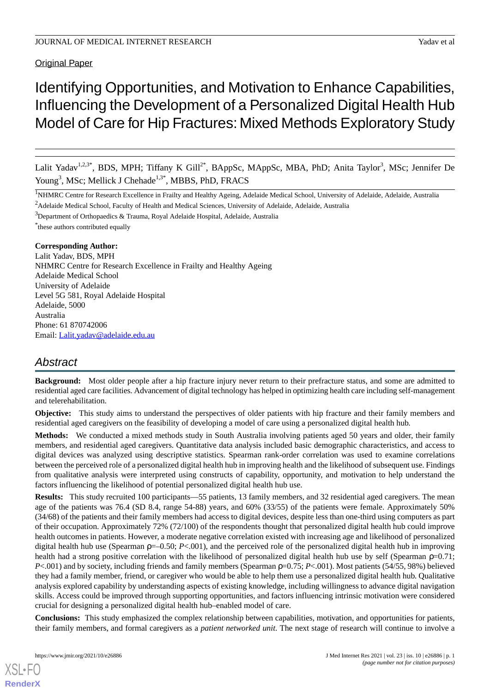**Original Paper** 

# Identifying Opportunities, and Motivation to Enhance Capabilities, Influencing the Development of a Personalized Digital Health Hub Model of Care for Hip Fractures: Mixed Methods Exploratory Study

Lalit Yadav<sup>1,2,3\*</sup>, BDS, MPH; Tiffany K Gill<sup>2\*</sup>, BAppSc, MAppSc, MBA, PhD; Anita Taylor<sup>3</sup>, MSc; Jennifer De Young<sup>3</sup>, MSc; Mellick J Chehade<sup>1,3\*</sup>, MBBS, PhD, FRACS

<sup>1</sup>NHMRC Centre for Research Excellence in Frailty and Healthy Ageing, Adelaide Medical School, University of Adelaide, Adelaide, Australia <sup>2</sup> Adelaide Medical School, Faculty of Health and Medical Sciences, University of Adelaide, Adelaide, Australia

<sup>3</sup>Department of Orthopaedics & Trauma, Royal Adelaide Hospital, Adelaide, Australia

\* these authors contributed equally

# **Corresponding Author:**

Lalit Yadav, BDS, MPH NHMRC Centre for Research Excellence in Frailty and Healthy Ageing Adelaide Medical School University of Adelaide Level 5G 581, Royal Adelaide Hospital Adelaide, 5000 Australia Phone: 61 870742006 Email: [Lalit.yadav@adelaide.edu.au](mailto:Lalit.yadav@adelaide.edu.au)

# *Abstract*

**Background:** Most older people after a hip fracture injury never return to their prefracture status, and some are admitted to residential aged care facilities. Advancement of digital technology has helped in optimizing health care including self-management and telerehabilitation.

**Objective:** This study aims to understand the perspectives of older patients with hip fracture and their family members and residential aged caregivers on the feasibility of developing a model of care using a personalized digital health hub.

**Methods:** We conducted a mixed methods study in South Australia involving patients aged 50 years and older, their family members, and residential aged caregivers. Quantitative data analysis included basic demographic characteristics, and access to digital devices was analyzed using descriptive statistics. Spearman rank-order correlation was used to examine correlations between the perceived role of a personalized digital health hub in improving health and the likelihood of subsequent use. Findings from qualitative analysis were interpreted using constructs of capability, opportunity, and motivation to help understand the factors influencing the likelihood of potential personalized digital health hub use.

**Results:** This study recruited 100 participants—55 patients, 13 family members, and 32 residential aged caregivers. The mean age of the patients was 76.4 (SD 8.4, range 54-88) years, and 60% (33/55) of the patients were female. Approximately 50% (34/68) of the patients and their family members had access to digital devices, despite less than one-third using computers as part of their occupation. Approximately 72% (72/100) of the respondents thought that personalized digital health hub could improve health outcomes in patients. However, a moderate negative correlation existed with increasing age and likelihood of personalized digital health hub use (Spearman ρ=–0.50; *P*<.001), and the perceived role of the personalized digital health hub in improving health had a strong positive correlation with the likelihood of personalized digital health hub use by self (Spearman ρ=0.71; *P*<.001) and by society, including friends and family members (Spearman ρ=0.75; *P*<.001). Most patients (54/55, 98%) believed they had a family member, friend, or caregiver who would be able to help them use a personalized digital health hub. Qualitative analysis explored capability by understanding aspects of existing knowledge, including willingness to advance digital navigation skills. Access could be improved through supporting opportunities, and factors influencing intrinsic motivation were considered crucial for designing a personalized digital health hub–enabled model of care.

**Conclusions:** This study emphasized the complex relationship between capabilities, motivation, and opportunities for patients, their family members, and formal caregivers as a *patient networked unit*. The next stage of research will continue to involve a

[XSL](http://www.w3.org/Style/XSL)•FO **[RenderX](http://www.renderx.com/)**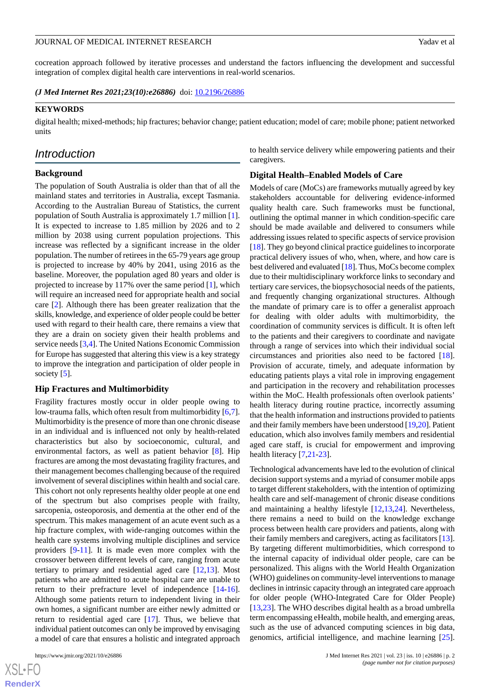cocreation approach followed by iterative processes and understand the factors influencing the development and successful integration of complex digital health care interventions in real-world scenarios.

*(J Med Internet Res 2021;23(10):e26886)* doi:  $10.2196/26886$ 

#### **KEYWORDS**

digital health; mixed-methods; hip fractures; behavior change; patient education; model of care; mobile phone; patient networked units

# *Introduction*

#### **Background**

The population of South Australia is older than that of all the mainland states and territories in Australia, except Tasmania. According to the Australian Bureau of Statistics, the current population of South Australia is approximately 1.7 million [[1\]](#page-8-0). It is expected to increase to 1.85 million by 2026 and to 2 million by 2038 using current population projections. This increase was reflected by a significant increase in the older population. The number of retirees in the 65-79 years age group is projected to increase by 40% by 2041, using 2016 as the baseline. Moreover, the population aged 80 years and older is projected to increase by 117% over the same period [\[1](#page-8-0)], which will require an increased need for appropriate health and social care [[2\]](#page-8-1). Although there has been greater realization that the skills, knowledge, and experience of older people could be better used with regard to their health care, there remains a view that they are a drain on society given their health problems and service needs [\[3](#page-8-2),[4\]](#page-8-3). The United Nations Economic Commission for Europe has suggested that altering this view is a key strategy to improve the integration and participation of older people in society [[5\]](#page-8-4).

#### **Hip Fractures and Multimorbidity**

Fragility fractures mostly occur in older people owing to low-trauma falls, which often result from multimorbidity [\[6](#page-8-5),[7\]](#page-8-6). Multimorbidity is the presence of more than one chronic disease in an individual and is influenced not only by health-related characteristics but also by socioeconomic, cultural, and environmental factors, as well as patient behavior [\[8](#page-8-7)]. Hip fractures are among the most devastating fragility fractures, and their management becomes challenging because of the required involvement of several disciplines within health and social care. This cohort not only represents healthy older people at one end of the spectrum but also comprises people with frailty, sarcopenia, osteoporosis, and dementia at the other end of the spectrum. This makes management of an acute event such as a hip fracture complex, with wide-ranging outcomes within the health care systems involving multiple disciplines and service providers [[9-](#page-8-8)[11\]](#page-8-9). It is made even more complex with the crossover between different levels of care, ranging from acute tertiary to primary and residential aged care [\[12](#page-8-10),[13\]](#page-8-11). Most patients who are admitted to acute hospital care are unable to return to their prefracture level of independence [\[14](#page-9-0)-[16\]](#page-9-1). Although some patients return to independent living in their own homes, a significant number are either newly admitted or return to residential aged care [[17\]](#page-9-2). Thus, we believe that individual patient outcomes can only be improved by envisaging a model of care that ensures a holistic and integrated approach

to health service delivery while empowering patients and their caregivers.

#### **Digital Health–Enabled Models of Care**

Models of care (MoCs) are frameworks mutually agreed by key stakeholders accountable for delivering evidence-informed quality health care. Such frameworks must be functional, outlining the optimal manner in which condition-specific care should be made available and delivered to consumers while addressing issues related to specific aspects of service provision [[18\]](#page-9-3). They go beyond clinical practice guidelines to incorporate practical delivery issues of who, when, where, and how care is best delivered and evaluated [\[18](#page-9-3)]. Thus, MoCs become complex due to their multidisciplinary workforce links to secondary and tertiary care services, the biopsychosocial needs of the patients, and frequently changing organizational structures. Although the mandate of primary care is to offer a generalist approach for dealing with older adults with multimorbidity, the coordination of community services is difficult. It is often left to the patients and their caregivers to coordinate and navigate through a range of services into which their individual social circumstances and priorities also need to be factored [[18\]](#page-9-3). Provision of accurate, timely, and adequate information by educating patients plays a vital role in improving engagement and participation in the recovery and rehabilitation processes within the MoC. Health professionals often overlook patients' health literacy during routine practice, incorrectly assuming that the health information and instructions provided to patients and their family members have been understood [[19,](#page-9-4)[20\]](#page-9-5). Patient education, which also involves family members and residential aged care staff, is crucial for empowerment and improving health literacy [\[7](#page-8-6),[21-](#page-9-6)[23](#page-9-7)].

Technological advancements have led to the evolution of clinical decision support systems and a myriad of consumer mobile apps to target different stakeholders, with the intention of optimizing health care and self-management of chronic disease conditions and maintaining a healthy lifestyle [\[12](#page-8-10),[13](#page-8-11)[,24](#page-9-8)]. Nevertheless, there remains a need to build on the knowledge exchange process between health care providers and patients, along with their family members and caregivers, acting as facilitators [[13\]](#page-8-11). By targeting different multimorbidities, which correspond to the internal capacity of individual older people, care can be personalized. This aligns with the World Health Organization (WHO) guidelines on community-level interventions to manage declines in intrinsic capacity through an integrated care approach for older people (WHO-Integrated Care for Older People) [[13,](#page-8-11)[23\]](#page-9-7). The WHO describes digital health as a broad umbrella term encompassing eHealth, mobile health, and emerging areas, such as the use of advanced computing sciences in big data, genomics, artificial intelligence, and machine learning [[25\]](#page-9-9).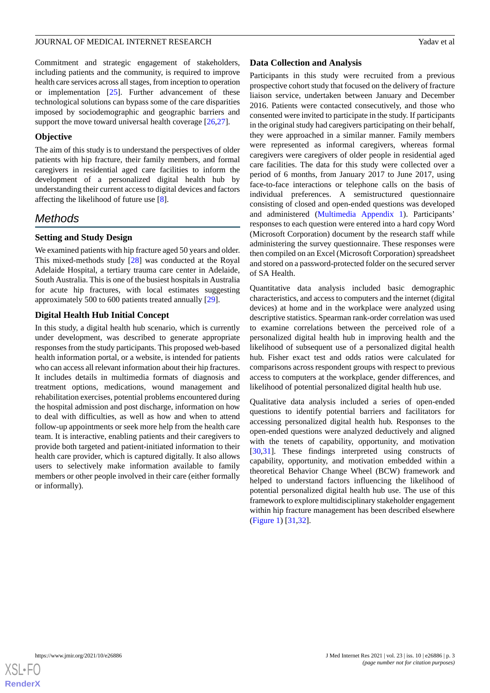Commitment and strategic engagement of stakeholders, including patients and the community, is required to improve health care services across all stages, from inception to operation or implementation [[25\]](#page-9-9). Further advancement of these technological solutions can bypass some of the care disparities imposed by sociodemographic and geographic barriers and support the move toward universal health coverage [\[26](#page-9-10),[27\]](#page-9-11).

# **Objective**

The aim of this study is to understand the perspectives of older patients with hip fracture, their family members, and formal caregivers in residential aged care facilities to inform the development of a personalized digital health hub by understanding their current access to digital devices and factors affecting the likelihood of future use [\[8](#page-8-7)].

# *Methods*

# **Setting and Study Design**

We examined patients with hip fracture aged 50 years and older. This mixed-methods study [\[28](#page-9-12)] was conducted at the Royal Adelaide Hospital, a tertiary trauma care center in Adelaide, South Australia. This is one of the busiest hospitals in Australia for acute hip fractures, with local estimates suggesting approximately 500 to 600 patients treated annually [[29\]](#page-9-13).

# **Digital Health Hub Initial Concept**

In this study, a digital health hub scenario, which is currently under development, was described to generate appropriate responses from the study participants. This proposed web-based health information portal, or a website, is intended for patients who can access all relevant information about their hip fractures. It includes details in multimedia formats of diagnosis and treatment options, medications, wound management and rehabilitation exercises, potential problems encountered during the hospital admission and post discharge, information on how to deal with difficulties, as well as how and when to attend follow-up appointments or seek more help from the health care team. It is interactive, enabling patients and their caregivers to provide both targeted and patient-initiated information to their health care provider, which is captured digitally. It also allows users to selectively make information available to family members or other people involved in their care (either formally or informally).

#### **Data Collection and Analysis**

Participants in this study were recruited from a previous prospective cohort study that focused on the delivery of fracture liaison service, undertaken between January and December 2016. Patients were contacted consecutively, and those who consented were invited to participate in the study. If participants in the original study had caregivers participating on their behalf, they were approached in a similar manner. Family members were represented as informal caregivers, whereas formal caregivers were caregivers of older people in residential aged care facilities. The data for this study were collected over a period of 6 months, from January 2017 to June 2017, using face-to-face interactions or telephone calls on the basis of individual preferences. A semistructured questionnaire consisting of closed and open-ended questions was developed and administered [\(Multimedia Appendix 1](#page-8-12)). Participants' responses to each question were entered into a hard copy Word (Microsoft Corporation) document by the research staff while administering the survey questionnaire. These responses were then compiled on an Excel (Microsoft Corporation) spreadsheet and stored on a password-protected folder on the secured server of SA Health.

Quantitative data analysis included basic demographic characteristics, and access to computers and the internet (digital devices) at home and in the workplace were analyzed using descriptive statistics. Spearman rank-order correlation was used to examine correlations between the perceived role of a personalized digital health hub in improving health and the likelihood of subsequent use of a personalized digital health hub. Fisher exact test and odds ratios were calculated for comparisons across respondent groups with respect to previous access to computers at the workplace, gender differences, and likelihood of potential personalized digital health hub use.

Qualitative data analysis included a series of open-ended questions to identify potential barriers and facilitators for accessing personalized digital health hub. Responses to the open-ended questions were analyzed deductively and aligned with the tenets of capability, opportunity, and motivation [[30,](#page-9-14)[31\]](#page-9-15). These findings interpreted using constructs of capability, opportunity, and motivation embedded within a theoretical Behavior Change Wheel (BCW) framework and helped to understand factors influencing the likelihood of potential personalized digital health hub use. The use of this framework to explore multidisciplinary stakeholder engagement within hip fracture management has been described elsewhere ([Figure 1\)](#page-3-0) [[31,](#page-9-15)[32](#page-9-16)].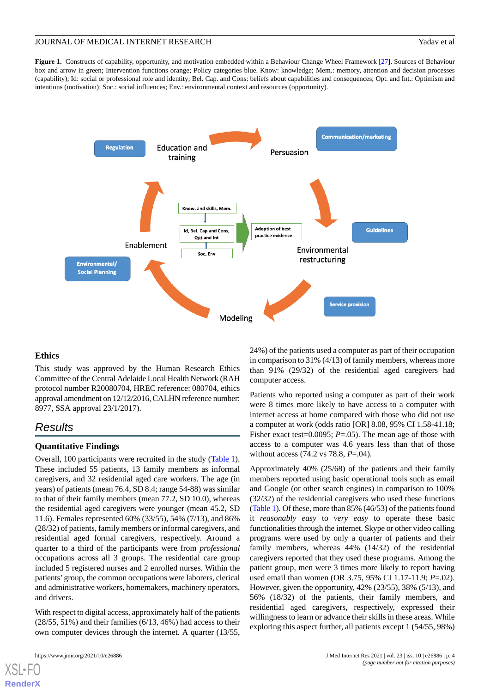<span id="page-3-0"></span>**Figure 1.** Constructs of capability, opportunity, and motivation embedded within a Behaviour Change Wheel Framework [\[27\]](#page-9-11). Sources of Behaviour box and arrow in green; Intervention functions orange; Policy categories blue. Know: knowledge; Mem.: memory, attention and decision processes (capability); Id: social or professional role and identity; Bel. Cap. and Cons: beliefs about capabilities and consequences; Opt. and Int.: Optimism and intentions (motivation); Soc.: social influences; Env.: environmental context and resources (opportunity).



#### **Ethics**

This study was approved by the Human Research Ethics Committee of the Central Adelaide Local Health Network (RAH protocol number R20080704, HREC reference: 080704, ethics approval amendment on 12/12/2016, CALHN reference number: 8977, SSA approval 23/1/2017).

# *Results*

#### **Quantitative Findings**

Overall, 100 participants were recruited in the study [\(Table 1\)](#page-4-0). These included 55 patients, 13 family members as informal caregivers, and 32 residential aged care workers. The age (in years) of patients (mean 76.4, SD 8.4; range 54-88) was similar to that of their family members (mean 77.2, SD 10.0), whereas the residential aged caregivers were younger (mean 45.2, SD 11.6). Females represented 60% (33/55), 54% (7/13), and 86% (28/32) of patients, family members or informal caregivers, and residential aged formal caregivers, respectively. Around a quarter to a third of the participants were from *professional* occupations across all 3 groups. The residential care group included 5 registered nurses and 2 enrolled nurses. Within the patients'group, the common occupations were laborers, clerical and administrative workers, homemakers, machinery operators, and drivers.

With respect to digital access, approximately half of the patients  $(28/55, 51%)$  and their families  $(6/13, 46%)$  had access to their own computer devices through the internet. A quarter (13/55,

[XSL](http://www.w3.org/Style/XSL)•FO **[RenderX](http://www.renderx.com/)**

24%) of the patients used a computer as part of their occupation in comparison to 31% (4/13) of family members, whereas more than 91% (29/32) of the residential aged caregivers had computer access.

Patients who reported using a computer as part of their work were 8 times more likely to have access to a computer with internet access at home compared with those who did not use a computer at work (odds ratio [OR] 8.08, 95% CI 1.58-41.18; Fisher exact test=0.0095; *P*=.05). The mean age of those with access to a computer was 4.6 years less than that of those without access (74.2 vs 78.8, *P*=.04).

Approximately 40% (25/68) of the patients and their family members reported using basic operational tools such as email and Google (or other search engines) in comparison to 100% (32/32) of the residential caregivers who used these functions ([Table 1\)](#page-4-0). Of these, more than 85% (46/53) of the patients found it *reasonably easy* to *very easy* to operate these basic functionalities through the internet. Skype or other video calling programs were used by only a quarter of patients and their family members, whereas 44% (14/32) of the residential caregivers reported that they used these programs. Among the patient group, men were 3 times more likely to report having used email than women (OR 3.75, 95% CI 1.17-11.9; *P*=.02). However, given the opportunity, 42% (23/55), 38% (5/13), and 56% (18/32) of the patients, their family members, and residential aged caregivers, respectively, expressed their willingness to learn or advance their skills in these areas. While exploring this aspect further, all patients except 1 (54/55, 98%)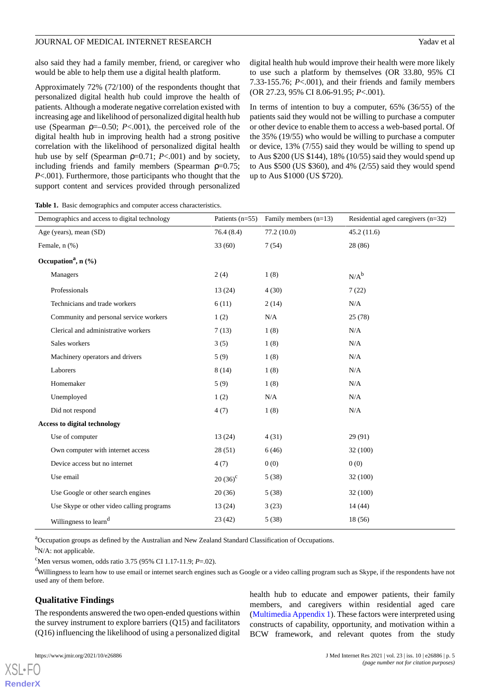also said they had a family member, friend, or caregiver who would be able to help them use a digital health platform.

Approximately 72% (72/100) of the respondents thought that personalized digital health hub could improve the health of patients. Although a moderate negative correlation existed with increasing age and likelihood of personalized digital health hub use (Spearman  $p=-0.50$ ;  $P<0.01$ ), the perceived role of the digital health hub in improving health had a strong positive correlation with the likelihood of personalized digital health hub use by self (Spearman ρ=0.71; *P*<.001) and by society, including friends and family members (Spearman  $p=0.75$ ; *P*<.001). Furthermore, those participants who thought that the support content and services provided through personalized

digital health hub would improve their health were more likely to use such a platform by themselves (OR 33.80, 95% CI 7.33-155.76; *P*<.001), and their friends and family members (OR 27.23, 95% CI 8.06-91.95; *P*<.001).

In terms of intention to buy a computer, 65% (36/55) of the patients said they would not be willing to purchase a computer or other device to enable them to access a web-based portal. Of the 35% (19/55) who would be willing to purchase a computer or device, 13% (7/55) said they would be willing to spend up to Aus \$200 (US \$144), 18% (10/55) said they would spend up to Aus \$500 (US \$360), and 4% (2/55) said they would spend up to Aus \$1000 (US \$720).

<span id="page-4-0"></span>**Table 1.** Basic demographics and computer access characteristics.

| Demographics and access to digital technology | Patients $(n=55)$ | Family members (n=13) | Residential aged caregivers (n=32) |
|-----------------------------------------------|-------------------|-----------------------|------------------------------------|
| Age (years), mean (SD)                        | 76.4(8.4)         | 77.2(10.0)            | 45.2(11.6)                         |
| Female, n (%)                                 | 33(60)            | 7(54)                 | 28 (86)                            |
| Occupation <sup>a</sup> , $n$ (%)             |                   |                       |                                    |
| Managers                                      | 2(4)              | 1(8)                  | $N/A^b$                            |
| Professionals                                 | 13(24)            | 4(30)                 | 7(22)                              |
| Technicians and trade workers                 | 6(11)             | 2(14)                 | N/A                                |
| Community and personal service workers        | 1(2)              | N/A                   | 25(78)                             |
| Clerical and administrative workers           | 7(13)             | 1(8)                  | N/A                                |
| Sales workers                                 | 3(5)              | 1(8)                  | N/A                                |
| Machinery operators and drivers               | 5(9)              | 1(8)                  | N/A                                |
| Laborers                                      | 8(14)             | 1(8)                  | N/A                                |
| Homemaker                                     | 5(9)              | 1(8)                  | N/A                                |
| Unemployed                                    | 1(2)              | N/A                   | N/A                                |
| Did not respond                               | 4(7)              | 1(8)                  | N/A                                |
| <b>Access to digital technology</b>           |                   |                       |                                    |
| Use of computer                               | 13(24)            | 4(31)                 | 29 (91)                            |
| Own computer with internet access             | 28(51)            | 6(46)                 | 32 (100)                           |
| Device access but no internet                 | 4(7)              | 0(0)                  | 0(0)                               |
| Use email                                     | $20(36)^{c}$      | 5(38)                 | 32 (100)                           |
| Use Google or other search engines            | 20(36)            | 5(38)                 | 32(100)                            |
| Use Skype or other video calling programs     | 13(24)            | 3(23)                 | 14(44)                             |
| Willingness to learn <sup>d</sup>             | 23(42)            | 5(38)                 | 18 (56)                            |

<sup>a</sup>Occupation groups as defined by the Australian and New Zealand Standard Classification of Occupations.

 $b_{N/A}$ : not applicable.

<sup>c</sup>Men versus women, odds ratio 3.75 (95% CI 1.17-11.9; *P*=.02).

<sup>d</sup>Willingness to learn how to use email or internet search engines such as Google or a video calling program such as Skype, if the respondents have not used any of them before.

# **Qualitative Findings**

The respondents answered the two open-ended questions within the survey instrument to explore barriers (Q15) and facilitators (Q16) influencing the likelihood of using a personalized digital

[XSL](http://www.w3.org/Style/XSL)•FO **[RenderX](http://www.renderx.com/)**

health hub to educate and empower patients, their family members, and caregivers within residential aged care ([Multimedia Appendix 1\)](#page-8-12). These factors were interpreted using constructs of capability, opportunity, and motivation within a BCW framework, and relevant quotes from the study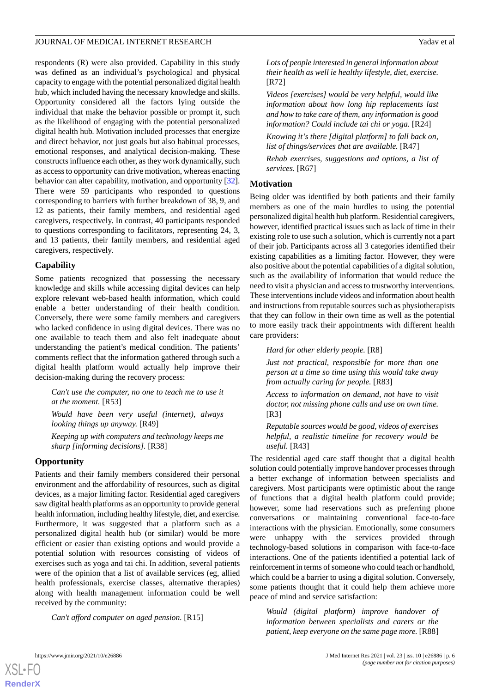respondents (R) were also provided. Capability in this study was defined as an individual's psychological and physical capacity to engage with the potential personalized digital health hub, which included having the necessary knowledge and skills. Opportunity considered all the factors lying outside the individual that make the behavior possible or prompt it, such as the likelihood of engaging with the potential personalized digital health hub. Motivation included processes that energize and direct behavior, not just goals but also habitual processes, emotional responses, and analytical decision-making. These constructs influence each other, as they work dynamically, such as access to opportunity can drive motivation, whereas enacting behavior can alter capability, motivation, and opportunity [[32\]](#page-9-16). There were 59 participants who responded to questions corresponding to barriers with further breakdown of 38, 9, and 12 as patients, their family members, and residential aged caregivers, respectively. In contrast, 40 participants responded to questions corresponding to facilitators, representing 24, 3, and 13 patients, their family members, and residential aged caregivers, respectively.

# **Capability**

Some patients recognized that possessing the necessary knowledge and skills while accessing digital devices can help explore relevant web-based health information, which could enable a better understanding of their health condition. Conversely, there were some family members and caregivers who lacked confidence in using digital devices. There was no one available to teach them and also felt inadequate about understanding the patient's medical condition. The patients' comments reflect that the information gathered through such a digital health platform would actually help improve their decision-making during the recovery process:

*Can't use the computer, no one to teach me to use it at the moment.* [R53]

*Would have been very useful (internet), always looking things up anyway.* [R49]

*Keeping up with computers and technology keeps me sharp [informing decisions].* [R38]

# **Opportunity**

Patients and their family members considered their personal environment and the affordability of resources, such as digital devices, as a major limiting factor. Residential aged caregivers saw digital health platforms as an opportunity to provide general health information, including healthy lifestyle, diet, and exercise. Furthermore, it was suggested that a platform such as a personalized digital health hub (or similar) would be more efficient or easier than existing options and would provide a potential solution with resources consisting of videos of exercises such as yoga and tai chi. In addition, several patients were of the opinion that a list of available services (eg, allied health professionals, exercise classes, alternative therapies) along with health management information could be well received by the community:

*Can't afford computer on aged pension.* [R15]

*Lots of people interested in general information about their health as well ie healthy lifestyle, diet, exercise.* [R72]

*Videos [exercises] would be very helpful, would like information about how long hip replacements last and how to take care of them, any information is good information? Could include tai chi or yoga.* [R24]

*Knowing it's there [digital platform] to fall back on, list of things/services that are available.* [R47]

*Rehab exercises, suggestions and options, a list of services.* [R67]

# **Motivation**

Being older was identified by both patients and their family members as one of the main hurdles to using the potential personalized digital health hub platform. Residential caregivers, however, identified practical issues such as lack of time in their existing role to use such a solution, which is currently not a part of their job. Participants across all 3 categories identified their existing capabilities as a limiting factor. However, they were also positive about the potential capabilities of a digital solution, such as the availability of information that would reduce the need to visit a physician and access to trustworthy interventions. These interventions include videos and information about health and instructions from reputable sources such as physiotherapists that they can follow in their own time as well as the potential to more easily track their appointments with different health care providers:

*Hard for other elderly people.* [R8]

*Just not practical, responsible for more than one person at a time so time using this would take away from actually caring for people.* [R83]

*Access to information on demand, not have to visit doctor, not missing phone calls and use on own time.* [R3]

*Reputable sources would be good, videos of exercises helpful, a realistic timeline for recovery would be useful.* [R43]

The residential aged care staff thought that a digital health solution could potentially improve handover processes through a better exchange of information between specialists and caregivers. Most participants were optimistic about the range of functions that a digital health platform could provide; however, some had reservations such as preferring phone conversations or maintaining conventional face-to-face interactions with the physician. Emotionally, some consumers were unhappy with the services provided through technology-based solutions in comparison with face-to-face interactions. One of the patients identified a potential lack of reinforcement in terms of someone who could teach or handhold, which could be a barrier to using a digital solution. Conversely, some patients thought that it could help them achieve more peace of mind and service satisfaction:

*Would (digital platform) improve handover of information between specialists and carers or the patient, keep everyone on the same page more.* [R88]

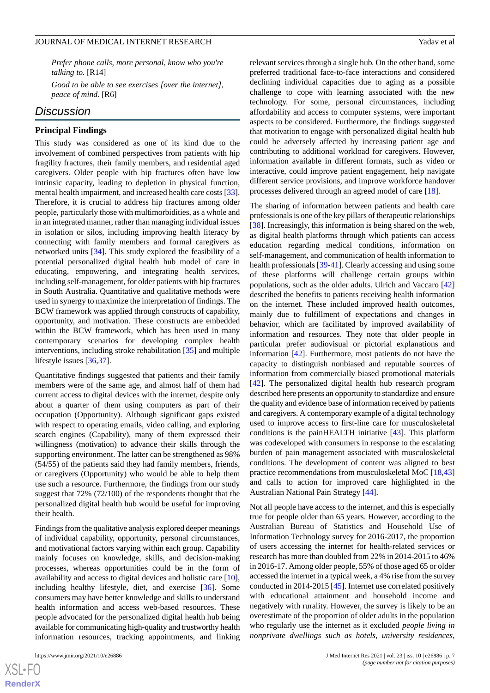*Prefer phone calls, more personal, know who you're talking to.* [R14]

*Good to be able to see exercises [over the internet], peace of mind.* [R6]

# *Discussion*

#### **Principal Findings**

This study was considered as one of its kind due to the involvement of combined perspectives from patients with hip fragility fractures, their family members, and residential aged caregivers. Older people with hip fractures often have low intrinsic capacity, leading to depletion in physical function, mental health impairment, and increased health care costs [[33\]](#page-9-17). Therefore, it is crucial to address hip fractures among older people, particularly those with multimorbidities, as a whole and in an integrated manner, rather than managing individual issues in isolation or silos, including improving health literacy by connecting with family members and formal caregivers as networked units [[34\]](#page-9-18). This study explored the feasibility of a potential personalized digital health hub model of care in educating, empowering, and integrating health services, including self-management, for older patients with hip fractures in South Australia. Quantitative and qualitative methods were used in synergy to maximize the interpretation of findings. The BCW framework was applied through constructs of capability, opportunity, and motivation. These constructs are embedded within the BCW framework, which has been used in many contemporary scenarios for developing complex health interventions, including stroke rehabilitation [[35\]](#page-9-19) and multiple lifestyle issues [[36,](#page-9-20)[37\]](#page-10-0).

Quantitative findings suggested that patients and their family members were of the same age, and almost half of them had current access to digital devices with the internet, despite only about a quarter of them using computers as part of their occupation (Opportunity). Although significant gaps existed with respect to operating emails, video calling, and exploring search engines (Capability), many of them expressed their willingness (motivation) to advance their skills through the supporting environment. The latter can be strengthened as 98% (54/55) of the patients said they had family members, friends, or caregivers (Opportunity) who would be able to help them use such a resource. Furthermore, the findings from our study suggest that 72% (72/100) of the respondents thought that the personalized digital health hub would be useful for improving their health.

Findings from the qualitative analysis explored deeper meanings of individual capability, opportunity, personal circumstances, and motivational factors varying within each group. Capability mainly focuses on knowledge, skills, and decision-making processes, whereas opportunities could be in the form of availability and access to digital devices and holistic care [[10\]](#page-8-13), including healthy lifestyle, diet, and exercise [\[36](#page-9-20)]. Some consumers may have better knowledge and skills to understand health information and access web-based resources. These people advocated for the personalized digital health hub being available for communicating high-quality and trustworthy health information resources, tracking appointments, and linking

relevant services through a single hub. On the other hand, some preferred traditional face-to-face interactions and considered declining individual capacities due to aging as a possible challenge to cope with learning associated with the new technology. For some, personal circumstances, including affordability and access to computer systems, were important aspects to be considered. Furthermore, the findings suggested that motivation to engage with personalized digital health hub could be adversely affected by increasing patient age and contributing to additional workload for caregivers. However, information available in different formats, such as video or interactive, could improve patient engagement, help navigate different service provisions, and improve workforce handover processes delivered through an agreed model of care [\[18](#page-9-3)].

The sharing of information between patients and health care professionals is one of the key pillars of therapeutic relationships [[38\]](#page-10-1). Increasingly, this information is being shared on the web, as digital health platforms through which patients can access education regarding medical conditions, information on self-management, and communication of health information to health professionals [\[39](#page-10-2)-[41\]](#page-10-3). Clearly accessing and using some of these platforms will challenge certain groups within populations, such as the older adults. Ulrich and Vaccaro [\[42](#page-10-4)] described the benefits to patients receiving health information on the internet. These included improved health outcomes, mainly due to fulfillment of expectations and changes in behavior, which are facilitated by improved availability of information and resources. They note that older people in particular prefer audiovisual or pictorial explanations and information [[42\]](#page-10-4). Furthermore, most patients do not have the capacity to distinguish nonbiased and reputable sources of information from commercially biased promotional materials [[42\]](#page-10-4). The personalized digital health hub research program described here presents an opportunity to standardize and ensure the quality and evidence base of information received by patients and caregivers. A contemporary example of a digital technology used to improve access to first-line care for musculoskeletal conditions is the painHEALTH initiative [\[43](#page-10-5)]. This platform was codeveloped with consumers in response to the escalating burden of pain management associated with musculoskeletal conditions. The development of content was aligned to best practice recommendations from musculoskeletal MoC [[18](#page-9-3)[,43](#page-10-5)] and calls to action for improved care highlighted in the Australian National Pain Strategy [[44\]](#page-10-6).

Not all people have access to the internet, and this is especially true for people older than 65 years. However, according to the Australian Bureau of Statistics and Household Use of Information Technology survey for 2016-2017, the proportion of users accessing the internet for health-related services or research has more than doubled from 22% in 2014-2015 to 46% in 2016-17. Among older people, 55% of those aged 65 or older accessed the internet in a typical week, a 4% rise from the survey conducted in 2014-2015 [\[45](#page-10-7)]. Internet use correlated positively with educational attainment and household income and negatively with rurality. However, the survey is likely to be an overestimate of the proportion of older adults in the population who regularly use the internet as it excluded *people living in nonprivate dwellings such as hotels*, *university residences*,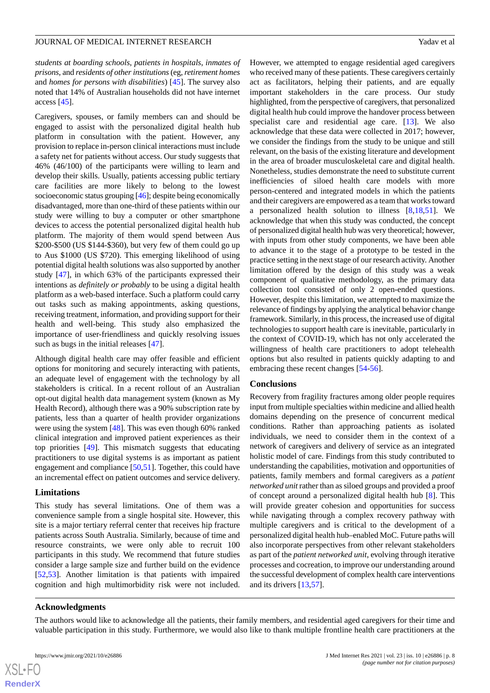*students at boarding schools*, *patients in hospitals*, *inmates of prisons*, and *residents of other institutions*(eg, *retirement homes* and *homes for persons with disabilities*) [[45\]](#page-10-7). The survey also noted that 14% of Australian households did not have internet access [[45\]](#page-10-7).

Caregivers, spouses, or family members can and should be engaged to assist with the personalized digital health hub platform in consultation with the patient. However, any provision to replace in-person clinical interactions must include a safety net for patients without access. Our study suggests that 46% (46/100) of the participants were willing to learn and develop their skills. Usually, patients accessing public tertiary care facilities are more likely to belong to the lowest socioeconomic status grouping [[46\]](#page-10-8); despite being economically disadvantaged, more than one-third of these patients within our study were willing to buy a computer or other smartphone devices to access the potential personalized digital health hub platform. The majority of them would spend between Aus \$200-\$500 (US \$144-\$360), but very few of them could go up to Aus \$1000 (US \$720). This emerging likelihood of using potential digital health solutions was also supported by another study [\[47](#page-10-9)], in which 63% of the participants expressed their intentions as *definitely or probably* to be using a digital health platform as a web-based interface. Such a platform could carry out tasks such as making appointments, asking questions, receiving treatment, information, and providing support for their health and well-being. This study also emphasized the importance of user-friendliness and quickly resolving issues such as bugs in the initial releases [[47\]](#page-10-9).

Although digital health care may offer feasible and efficient options for monitoring and securely interacting with patients, an adequate level of engagement with the technology by all stakeholders is critical. In a recent rollout of an Australian opt-out digital health data management system (known as My Health Record), although there was a 90% subscription rate by patients, less than a quarter of health provider organizations were using the system [\[48](#page-10-10)]. This was even though 60% ranked clinical integration and improved patient experiences as their top priorities [\[49](#page-10-11)]. This mismatch suggests that educating practitioners to use digital systems is as important as patient engagement and compliance [[50,](#page-10-12)[51](#page-10-13)]. Together, this could have an incremental effect on patient outcomes and service delivery.

#### **Limitations**

This study has several limitations. One of them was a convenience sample from a single hospital site. However, this site is a major tertiary referral center that receives hip fracture patients across South Australia. Similarly, because of time and resource constraints, we were only able to recruit 100 participants in this study. We recommend that future studies consider a large sample size and further build on the evidence [[52](#page-10-14)[,53](#page-10-15)]. Another limitation is that patients with impaired cognition and high multimorbidity risk were not included.

However, we attempted to engage residential aged caregivers who received many of these patients. These caregivers certainly act as facilitators, helping their patients, and are equally important stakeholders in the care process. Our study highlighted, from the perspective of caregivers, that personalized digital health hub could improve the handover process between specialist care and residential age care. [\[13](#page-8-11)]. We also acknowledge that these data were collected in 2017; however, we consider the findings from the study to be unique and still relevant, on the basis of the existing literature and development in the area of broader musculoskeletal care and digital health. Nonetheless, studies demonstrate the need to substitute current inefficiencies of siloed health care models with more person-centered and integrated models in which the patients and their caregivers are empowered as a team that works toward a personalized health solution to illness [\[8](#page-8-7),[18](#page-9-3)[,51](#page-10-13)]. We acknowledge that when this study was conducted, the concept of personalized digital health hub was very theoretical; however, with inputs from other study components, we have been able to advance it to the stage of a prototype to be tested in the practice setting in the next stage of our research activity. Another limitation offered by the design of this study was a weak component of qualitative methodology, as the primary data collection tool consisted of only 2 open-ended questions. However, despite this limitation, we attempted to maximize the relevance of findings by applying the analytical behavior change framework. Similarly, in this process, the increased use of digital technologies to support health care is inevitable, particularly in the context of COVID-19, which has not only accelerated the willingness of health care practitioners to adopt telehealth options but also resulted in patients quickly adapting to and embracing these recent changes [\[54](#page-10-16)-[56\]](#page-10-17).

#### **Conclusions**

Recovery from fragility fractures among older people requires input from multiple specialties within medicine and allied health domains depending on the presence of concurrent medical conditions. Rather than approaching patients as isolated individuals, we need to consider them in the context of a network of caregivers and delivery of service as an integrated holistic model of care. Findings from this study contributed to understanding the capabilities, motivation and opportunities of patients, family members and formal caregivers as a *patient networked unit* rather than as siloed groups and provided a proof of concept around a personalized digital health hub [[8\]](#page-8-7). This will provide greater cohesion and opportunities for success while navigating through a complex recovery pathway with multiple caregivers and is critical to the development of a personalized digital health hub–enabled MoC. Future paths will also incorporate perspectives from other relevant stakeholders as part of the *patient networked unit*, evolving through iterative processes and cocreation, to improve our understanding around the successful development of complex health care interventions and its drivers [[13,](#page-8-11)[57](#page-10-18)].

#### **Acknowledgments**

The authors would like to acknowledge all the patients, their family members, and residential aged caregivers for their time and valuable participation in this study. Furthermore, we would also like to thank multiple frontline health care practitioners at the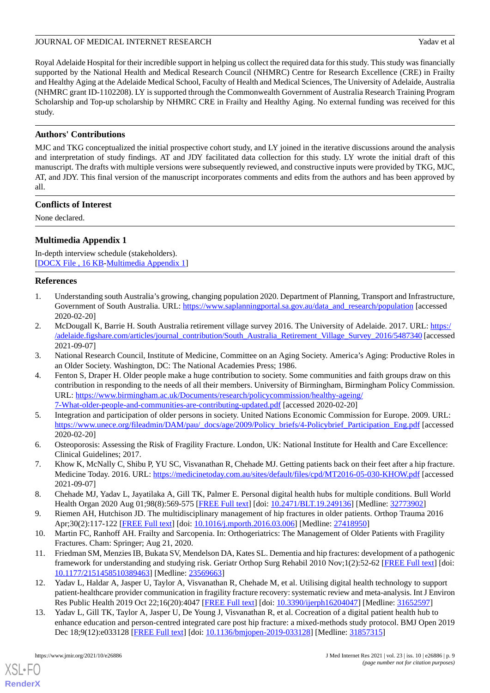Royal Adelaide Hospital for their incredible support in helping us collect the required data for this study. This study was financially supported by the National Health and Medical Research Council (NHMRC) Centre for Research Excellence (CRE) in Frailty and Healthy Aging at the Adelaide Medical School, Faculty of Health and Medical Sciences, The University of Adelaide, Australia (NHMRC grant ID-1102208). LY is supported through the Commonwealth Government of Australia Research Training Program Scholarship and Top-up scholarship by NHMRC CRE in Frailty and Healthy Aging. No external funding was received for this study.

# **Authors' Contributions**

MJC and TKG conceptualized the initial prospective cohort study, and LY joined in the iterative discussions around the analysis and interpretation of study findings. AT and JDY facilitated data collection for this study. LY wrote the initial draft of this manuscript. The drafts with multiple versions were subsequently reviewed, and constructive inputs were provided by TKG, MJC, AT, and JDY. This final version of the manuscript incorporates comments and edits from the authors and has been approved by all.

# **Conflicts of Interest**

<span id="page-8-12"></span>None declared.

# **Multimedia Appendix 1**

In-depth interview schedule (stakeholders). [[DOCX File , 16 KB](https://jmir.org/api/download?alt_name=jmir_v23i10e26886_app1.docx&filename=a45bdc58e22231f392bfcc7a8abbb226.docx)-[Multimedia Appendix 1\]](https://jmir.org/api/download?alt_name=jmir_v23i10e26886_app1.docx&filename=a45bdc58e22231f392bfcc7a8abbb226.docx)

# <span id="page-8-0"></span>**References**

- <span id="page-8-1"></span>1. Understanding south Australia's growing, changing population 2020. Department of Planning, Transport and Infrastructure, Government of South Australia. URL: [https://www.saplanningportal.sa.gov.au/data\\_and\\_research/population](https://www.saplanningportal.sa.gov.au/data_and_research/population) [accessed] 2020-02-20]
- <span id="page-8-3"></span><span id="page-8-2"></span>2. McDougall K, Barrie H. South Australia retirement village survey 2016. The University of Adelaide. 2017. URL: [https:/](https://adelaide.figshare.com/articles/journal_contribution/South_Australia_Retirement_Village_Survey_2016/5487340) [/adelaide.figshare.com/articles/journal\\_contribution/South\\_Australia\\_Retirement\\_Village\\_Survey\\_2016/5487340](https://adelaide.figshare.com/articles/journal_contribution/South_Australia_Retirement_Village_Survey_2016/5487340) [accessed 2021-09-07]
- 3. National Research Council, Institute of Medicine, Committee on an Aging Society. America's Aging: Productive Roles in an Older Society. Washington, DC: The National Academies Press; 1986.
- <span id="page-8-4"></span>4. Fenton S, Draper H. Older people make a huge contribution to society. Some communities and faith groups draw on this contribution in responding to the needs of all their members. University of Birmingham, Birmingham Policy Commission. URL: [https://www.birmingham.ac.uk/Documents/research/policycommission/healthy-ageing/](https://www.birmingham.ac.uk/Documents/research/policycommission/healthy-ageing/7-What-older-people-and-communities-are-contributing-updated.pdf) [7-What-older-people-and-communities-are-contributing-updated.pdf](https://www.birmingham.ac.uk/Documents/research/policycommission/healthy-ageing/7-What-older-people-and-communities-are-contributing-updated.pdf) [accessed 2020-02-20]
- <span id="page-8-6"></span><span id="page-8-5"></span>5. Integration and participation of older persons in society. United Nations Economic Commission for Europe. 2009. URL: [https://www.unece.org/fileadmin/DAM/pau/\\_docs/age/2009/Policy\\_briefs/4-Policybrief\\_Participation\\_Eng.pdf](https://www.unece.org/fileadmin/DAM/pau/_docs/age/2009/Policy_briefs/4-Policybrief_Participation_Eng.pdf) [accessed] 2020-02-20]
- <span id="page-8-7"></span>6. Osteoporosis: Assessing the Risk of Fragility Fracture. London, UK: National Institute for Health and Care Excellence: Clinical Guidelines; 2017.
- <span id="page-8-8"></span>7. Khow K, McNally C, Shibu P, YU SC, Visvanathan R, Chehade MJ. Getting patients back on their feet after a hip fracture. Medicine Today. 2016. URL:<https://medicinetoday.com.au/sites/default/files/cpd/MT2016-05-030-KHOW.pdf> [accessed 2021-09-07]
- <span id="page-8-13"></span><span id="page-8-9"></span>8. Chehade MJ, Yadav L, Jayatilaka A, Gill TK, Palmer E. Personal digital health hubs for multiple conditions. Bull World Health Organ 2020 Aug 01;98(8):569-575 [[FREE Full text\]](http://europepmc.org/abstract/MED/32773902) [doi: [10.2471/BLT.19.249136\]](http://dx.doi.org/10.2471/BLT.19.249136) [Medline: [32773902](http://www.ncbi.nlm.nih.gov/entrez/query.fcgi?cmd=Retrieve&db=PubMed&list_uids=32773902&dopt=Abstract)]
- 9. Riemen AH, Hutchison JD. The multidisciplinary management of hip fractures in older patients. Orthop Trauma 2016 Apr;30(2):117-122 [\[FREE Full text\]](http://europepmc.org/abstract/MED/27418950) [doi: [10.1016/j.mporth.2016.03.006](http://dx.doi.org/10.1016/j.mporth.2016.03.006)] [Medline: [27418950\]](http://www.ncbi.nlm.nih.gov/entrez/query.fcgi?cmd=Retrieve&db=PubMed&list_uids=27418950&dopt=Abstract)
- <span id="page-8-10"></span>10. Martin FC, Ranhoff AH. Frailty and Sarcopenia. In: Orthogeriatrics: The Management of Older Patients with Fragility Fractures. Cham: Springer; Aug 21, 2020.
- <span id="page-8-11"></span>11. Friedman SM, Menzies IB, Bukata SV, Mendelson DA, Kates SL. Dementia and hip fractures: development of a pathogenic framework for understanding and studying risk. Geriatr Orthop Surg Rehabil 2010 Nov;1(2):52-62 [\[FREE Full text\]](https://journals.sagepub.com/doi/10.1177/2151458510389463?url_ver=Z39.88-2003&rfr_id=ori:rid:crossref.org&rfr_dat=cr_pub%3dpubmed) [doi: [10.1177/2151458510389463\]](http://dx.doi.org/10.1177/2151458510389463) [Medline: [23569663\]](http://www.ncbi.nlm.nih.gov/entrez/query.fcgi?cmd=Retrieve&db=PubMed&list_uids=23569663&dopt=Abstract)
- 12. Yadav L, Haldar A, Jasper U, Taylor A, Visvanathan R, Chehade M, et al. Utilising digital health technology to support patient-healthcare provider communication in fragility fracture recovery: systematic review and meta-analysis. Int J Environ Res Public Health 2019 Oct 22;16(20):4047 [[FREE Full text](https://www.mdpi.com/resolver?pii=ijerph16204047)] [doi: [10.3390/ijerph16204047\]](http://dx.doi.org/10.3390/ijerph16204047) [Medline: [31652597\]](http://www.ncbi.nlm.nih.gov/entrez/query.fcgi?cmd=Retrieve&db=PubMed&list_uids=31652597&dopt=Abstract)
- 13. Yadav L, Gill TK, Taylor A, Jasper U, De Young J, Visvanathan R, et al. Cocreation of a digital patient health hub to enhance education and person-centred integrated care post hip fracture: a mixed-methods study protocol. BMJ Open 2019 Dec 18;9(12):e033128 [[FREE Full text](https://bmjopen.bmj.com/lookup/pmidlookup?view=long&pmid=31857315)] [doi: [10.1136/bmjopen-2019-033128](http://dx.doi.org/10.1136/bmjopen-2019-033128)] [Medline: [31857315\]](http://www.ncbi.nlm.nih.gov/entrez/query.fcgi?cmd=Retrieve&db=PubMed&list_uids=31857315&dopt=Abstract)

[XSL](http://www.w3.org/Style/XSL)•FO **[RenderX](http://www.renderx.com/)**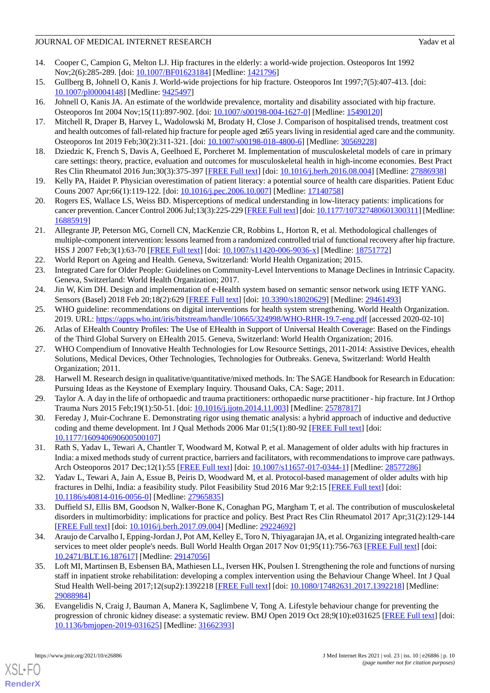# JOURNAL OF MEDICAL INTERNET RESEARCH YADAVEN AND THE VALUE OF MEDICAL INTERNET RESEARCH

- <span id="page-9-0"></span>14. Cooper C, Campion G, Melton LJ. Hip fractures in the elderly: a world-wide projection. Osteoporos Int 1992 Nov;2(6):285-289. [doi: [10.1007/BF01623184](http://dx.doi.org/10.1007/BF01623184)] [Medline: [1421796\]](http://www.ncbi.nlm.nih.gov/entrez/query.fcgi?cmd=Retrieve&db=PubMed&list_uids=1421796&dopt=Abstract)
- <span id="page-9-1"></span>15. Gullberg B, Johnell O, Kanis J. World-wide projections for hip fracture. Osteoporos Int 1997;7(5):407-413. [doi: [10.1007/pl00004148\]](http://dx.doi.org/10.1007/pl00004148) [Medline: [9425497](http://www.ncbi.nlm.nih.gov/entrez/query.fcgi?cmd=Retrieve&db=PubMed&list_uids=9425497&dopt=Abstract)]
- <span id="page-9-2"></span>16. Johnell O, Kanis JA. An estimate of the worldwide prevalence, mortality and disability associated with hip fracture. Osteoporos Int 2004 Nov;15(11):897-902. [doi: [10.1007/s00198-004-1627-0\]](http://dx.doi.org/10.1007/s00198-004-1627-0) [Medline: [15490120\]](http://www.ncbi.nlm.nih.gov/entrez/query.fcgi?cmd=Retrieve&db=PubMed&list_uids=15490120&dopt=Abstract)
- <span id="page-9-3"></span>17. Mitchell R, Draper B, Harvey L, Wadolowski M, Brodaty H, Close J. Comparison of hospitalised trends, treatment cost and health outcomes of fall-related hip fracture for people aged  $\geq 65$  years living in residential aged care and the community. Osteoporos Int 2019 Feb;30(2):311-321. [doi: [10.1007/s00198-018-4800-6\]](http://dx.doi.org/10.1007/s00198-018-4800-6) [Medline: [30569228](http://www.ncbi.nlm.nih.gov/entrez/query.fcgi?cmd=Retrieve&db=PubMed&list_uids=30569228&dopt=Abstract)]
- <span id="page-9-4"></span>18. Dziedzic K, French S, Davis A, Geelhoed E, Porcheret M. Implementation of musculoskeletal models of care in primary care settings: theory, practice, evaluation and outcomes for musculoskeletal health in high-income economies. Best Pract Res Clin Rheumatol 2016 Jun;30(3):375-397 [[FREE Full text](https://linkinghub.elsevier.com/retrieve/pii/S1521-6942(16)30044-4)] [doi: [10.1016/j.berh.2016.08.004](http://dx.doi.org/10.1016/j.berh.2016.08.004)] [Medline: [27886938](http://www.ncbi.nlm.nih.gov/entrez/query.fcgi?cmd=Retrieve&db=PubMed&list_uids=27886938&dopt=Abstract)]
- <span id="page-9-5"></span>19. Kelly PA, Haidet P. Physician overestimation of patient literacy: a potential source of health care disparities. Patient Educ Couns 2007 Apr;66(1):119-122. [doi: [10.1016/j.pec.2006.10.007](http://dx.doi.org/10.1016/j.pec.2006.10.007)] [Medline: [17140758](http://www.ncbi.nlm.nih.gov/entrez/query.fcgi?cmd=Retrieve&db=PubMed&list_uids=17140758&dopt=Abstract)]
- <span id="page-9-6"></span>20. Rogers ES, Wallace LS, Weiss BD. Misperceptions of medical understanding in low-literacy patients: implications for cancer prevention. Cancer Control 2006 Jul;13(3):225-229 [\[FREE Full text](https://journals.sagepub.com/doi/10.1177/107327480601300311?url_ver=Z39.88-2003&rfr_id=ori:rid:crossref.org&rfr_dat=cr_pub%3dpubmed)] [doi: [10.1177/107327480601300311\]](http://dx.doi.org/10.1177/107327480601300311) [Medline: [16885919](http://www.ncbi.nlm.nih.gov/entrez/query.fcgi?cmd=Retrieve&db=PubMed&list_uids=16885919&dopt=Abstract)]
- <span id="page-9-7"></span>21. Allegrante JP, Peterson MG, Cornell CN, MacKenzie CR, Robbins L, Horton R, et al. Methodological challenges of multiple-component intervention: lessons learned from a randomized controlled trial of functional recovery after hip fracture. HSS J 2007 Feb;3(1):63-70 [[FREE Full text](http://europepmc.org/abstract/MED/18751772)] [doi: [10.1007/s11420-006-9036-x](http://dx.doi.org/10.1007/s11420-006-9036-x)] [Medline: [18751772](http://www.ncbi.nlm.nih.gov/entrez/query.fcgi?cmd=Retrieve&db=PubMed&list_uids=18751772&dopt=Abstract)]
- <span id="page-9-8"></span>22. World Report on Ageing and Health. Geneva, Switzerland: World Health Organization; 2015.
- <span id="page-9-9"></span>23. Integrated Care for Older People: Guidelines on Community-Level Interventions to Manage Declines in Intrinsic Capacity. Geneva, Switzerland: World Health Organization; 2017.
- <span id="page-9-10"></span>24. Jin W, Kim DH. Design and implementation of e-Health system based on semantic sensor network using IETF YANG. Sensors (Basel) 2018 Feb 20;18(2):629 [[FREE Full text\]](https://www.mdpi.com/resolver?pii=s18020629) [doi: [10.3390/s18020629](http://dx.doi.org/10.3390/s18020629)] [Medline: [29461493](http://www.ncbi.nlm.nih.gov/entrez/query.fcgi?cmd=Retrieve&db=PubMed&list_uids=29461493&dopt=Abstract)]
- <span id="page-9-11"></span>25. WHO guideline: recommendations on digital interventions for health system strengthening. World Health Organization. 2019. URL: <https://apps.who.int/iris/bitstream/handle/10665/324998/WHO-RHR-19.7-eng.pdf> [accessed 2020-02-10]
- 26. Atlas of EHealth Country Profiles: The Use of EHealth in Support of Universal Health Coverage: Based on the Findings of the Third Global Survery on EHealth 2015. Geneva, Switzerland: World Health Organization; 2016.
- <span id="page-9-13"></span><span id="page-9-12"></span>27. WHO Compendium of Innovative Health Technologies for Low Resource Settings, 2011-2014: Assistive Devices, ehealth Solutions, Medical Devices, Other Technologies, Technologies for Outbreaks. Geneva, Switzerland: World Health Organization; 2011.
- <span id="page-9-14"></span>28. Harwell M. Research design in qualitative/quantitative/mixed methods. In: The SAGE Handbook for Research in Education: Pursuing Ideas as the Keystone of Exemplary Inquiry. Thousand Oaks, CA: Sage; 2011.
- <span id="page-9-15"></span>29. Taylor A. A day in the life of orthopaedic and trauma practitioners: orthopaedic nurse practitioner - hip fracture. Int J Orthop Trauma Nurs 2015 Feb;19(1):50-51. [doi: [10.1016/j.ijotn.2014.11.003\]](http://dx.doi.org/10.1016/j.ijotn.2014.11.003) [Medline: [25787817](http://www.ncbi.nlm.nih.gov/entrez/query.fcgi?cmd=Retrieve&db=PubMed&list_uids=25787817&dopt=Abstract)]
- <span id="page-9-16"></span>30. Fereday J, Muir-Cochrane E. Demonstrating rigor using thematic analysis: a hybrid approach of inductive and deductive coding and theme development. Int J Qual Methods 2006 Mar 01;5(1):80-92 [[FREE Full text](https://doi.org/10.1177/160940690600500107)] [doi: [10.1177/160940690600500107\]](http://dx.doi.org/10.1177/160940690600500107)
- <span id="page-9-17"></span>31. Rath S, Yadav L, Tewari A, Chantler T, Woodward M, Kotwal P, et al. Management of older adults with hip fractures in India: a mixed methods study of current practice, barriers and facilitators, with recommendations to improve care pathways. Arch Osteoporos 2017 Dec;12(1):55 [[FREE Full text](http://europepmc.org/abstract/MED/28577286)] [doi: [10.1007/s11657-017-0344-1](http://dx.doi.org/10.1007/s11657-017-0344-1)] [Medline: [28577286](http://www.ncbi.nlm.nih.gov/entrez/query.fcgi?cmd=Retrieve&db=PubMed&list_uids=28577286&dopt=Abstract)]
- <span id="page-9-18"></span>32. Yadav L, Tewari A, Jain A, Essue B, Peiris D, Woodward M, et al. Protocol-based management of older adults with hip fractures in Delhi, India: a feasibility study. Pilot Feasibility Stud 2016 Mar 9;2:15 [[FREE Full text](https://pilotfeasibilitystudies.biomedcentral.com/articles/10.1186/s40814-016-0056-0)] [doi: [10.1186/s40814-016-0056-0\]](http://dx.doi.org/10.1186/s40814-016-0056-0) [Medline: [27965835](http://www.ncbi.nlm.nih.gov/entrez/query.fcgi?cmd=Retrieve&db=PubMed&list_uids=27965835&dopt=Abstract)]
- <span id="page-9-19"></span>33. Duffield SJ, Ellis BM, Goodson N, Walker-Bone K, Conaghan PG, Margham T, et al. The contribution of musculoskeletal disorders in multimorbidity: implications for practice and policy. Best Pract Res Clin Rheumatol 2017 Apr;31(2):129-144 [[FREE Full text](https://linkinghub.elsevier.com/retrieve/pii/S1521-6942(17)30021-9)] [doi: [10.1016/j.berh.2017.09.004](http://dx.doi.org/10.1016/j.berh.2017.09.004)] [Medline: [29224692](http://www.ncbi.nlm.nih.gov/entrez/query.fcgi?cmd=Retrieve&db=PubMed&list_uids=29224692&dopt=Abstract)]
- <span id="page-9-20"></span>34. Araujo de Carvalho I, Epping-Jordan J, Pot AM, Kelley E, Toro N, Thiyagarajan JA, et al. Organizing integrated health-care services to meet older people's needs. Bull World Health Organ 2017 Nov 01;95(11):756-763 [[FREE Full text](http://europepmc.org/abstract/MED/29147056)] [doi: [10.2471/BLT.16.187617](http://dx.doi.org/10.2471/BLT.16.187617)] [Medline: [29147056\]](http://www.ncbi.nlm.nih.gov/entrez/query.fcgi?cmd=Retrieve&db=PubMed&list_uids=29147056&dopt=Abstract)
- 35. Loft MI, Martinsen B, Esbensen BA, Mathiesen LL, Iversen HK, Poulsen I. Strengthening the role and functions of nursing staff in inpatient stroke rehabilitation: developing a complex intervention using the Behaviour Change Wheel. Int J Qual Stud Health Well-being 2017;12(sup2):1392218 [\[FREE Full text\]](http://europepmc.org/abstract/MED/29088984) [doi: [10.1080/17482631.2017.1392218](http://dx.doi.org/10.1080/17482631.2017.1392218)] [Medline: [29088984](http://www.ncbi.nlm.nih.gov/entrez/query.fcgi?cmd=Retrieve&db=PubMed&list_uids=29088984&dopt=Abstract)]
- 36. Evangelidis N, Craig J, Bauman A, Manera K, Saglimbene V, Tong A. Lifestyle behaviour change for preventing the progression of chronic kidney disease: a systematic review. BMJ Open 2019 Oct 28;9(10):e031625 [[FREE Full text](https://bmjopen.bmj.com/lookup/pmidlookup?view=long&pmid=31662393)] [doi: [10.1136/bmjopen-2019-031625\]](http://dx.doi.org/10.1136/bmjopen-2019-031625) [Medline: [31662393](http://www.ncbi.nlm.nih.gov/entrez/query.fcgi?cmd=Retrieve&db=PubMed&list_uids=31662393&dopt=Abstract)]

[XSL](http://www.w3.org/Style/XSL)•FO **[RenderX](http://www.renderx.com/)**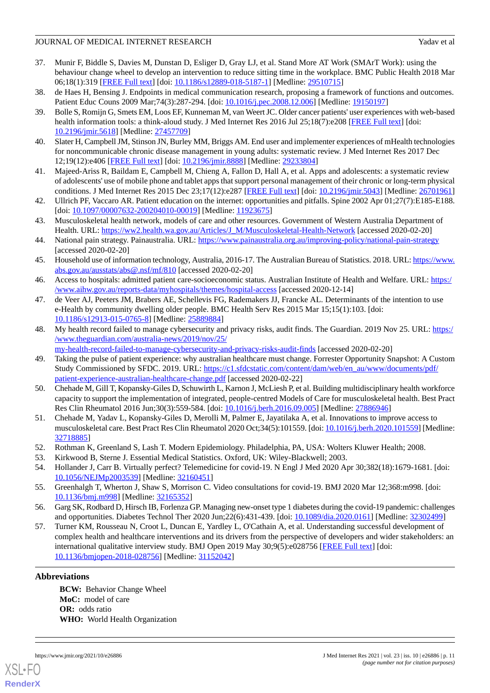# JOURNAL OF MEDICAL INTERNET RESEARCH Yadav et al. Yadav et al.

- <span id="page-10-0"></span>37. Munir F, Biddle S, Davies M, Dunstan D, Esliger D, Gray LJ, et al. Stand More AT Work (SMArT Work): using the behaviour change wheel to develop an intervention to reduce sitting time in the workplace. BMC Public Health 2018 Mar 06;18(1):319 [[FREE Full text\]](https://bmcpublichealth.biomedcentral.com/articles/10.1186/s12889-018-5187-1) [doi: [10.1186/s12889-018-5187-1](http://dx.doi.org/10.1186/s12889-018-5187-1)] [Medline: [29510715](http://www.ncbi.nlm.nih.gov/entrez/query.fcgi?cmd=Retrieve&db=PubMed&list_uids=29510715&dopt=Abstract)]
- <span id="page-10-2"></span><span id="page-10-1"></span>38. de Haes H, Bensing J. Endpoints in medical communication research, proposing a framework of functions and outcomes. Patient Educ Couns 2009 Mar; 74(3): 287-294. [doi: 10.1016/j.pec. 2008.12.006] [Medline: [19150197\]](http://www.ncbi.nlm.nih.gov/entrez/query.fcgi?cmd=Retrieve&db=PubMed&list_uids=19150197&dopt=Abstract)
- 39. Bolle S, Romijn G, Smets EM, Loos EF, Kunneman M, van Weert JC. Older cancer patients' user experiences with web-based health information tools: a think-aloud study. J Med Internet Res 2016 Jul 25;18(7):e208 [[FREE Full text](https://www.jmir.org/2016/7/e208/)] [doi: [10.2196/jmir.5618](http://dx.doi.org/10.2196/jmir.5618)] [Medline: [27457709](http://www.ncbi.nlm.nih.gov/entrez/query.fcgi?cmd=Retrieve&db=PubMed&list_uids=27457709&dopt=Abstract)]
- <span id="page-10-3"></span>40. Slater H, Campbell JM, Stinson JN, Burley MM, Briggs AM. End user and implementer experiences of mHealth technologies for noncommunicable chronic disease management in young adults: systematic review. J Med Internet Res 2017 Dec 12;19(12):e406 [\[FREE Full text](https://www.jmir.org/2017/12/e406/)] [doi: [10.2196/jmir.8888\]](http://dx.doi.org/10.2196/jmir.8888) [Medline: [29233804](http://www.ncbi.nlm.nih.gov/entrez/query.fcgi?cmd=Retrieve&db=PubMed&list_uids=29233804&dopt=Abstract)]
- <span id="page-10-4"></span>41. Majeed-Ariss R, Baildam E, Campbell M, Chieng A, Fallon D, Hall A, et al. Apps and adolescents: a systematic review of adolescents' use of mobile phone and tablet apps that support personal management of their chronic or long-term physical conditions. J Med Internet Res 2015 Dec 23;17(12):e287 [\[FREE Full text](http://www.jmir.org/2015/12/e287/)] [doi: [10.2196/jmir.5043\]](http://dx.doi.org/10.2196/jmir.5043) [Medline: [26701961](http://www.ncbi.nlm.nih.gov/entrez/query.fcgi?cmd=Retrieve&db=PubMed&list_uids=26701961&dopt=Abstract)]
- <span id="page-10-5"></span>42. Ullrich PF, Vaccaro AR. Patient education on the internet: opportunities and pitfalls. Spine 2002 Apr 01;27(7):E185-E188. [doi: [10.1097/00007632-200204010-00019\]](http://dx.doi.org/10.1097/00007632-200204010-00019) [Medline: [11923675\]](http://www.ncbi.nlm.nih.gov/entrez/query.fcgi?cmd=Retrieve&db=PubMed&list_uids=11923675&dopt=Abstract)
- <span id="page-10-6"></span>43. Musculoskeletal health network, models of care and other resources. Government of Western Australia Department of Health. URL: [https://ww2.health.wa.gov.au/Articles/J\\_M/Musculoskeletal-Health-Network](https://ww2.health.wa.gov.au/Articles/J_M/Musculoskeletal-Health-Network) [accessed 2020-02-20]
- <span id="page-10-7"></span>44. National pain strategy. Painaustralia. URL: <https://www.painaustralia.org.au/improving-policy/national-pain-strategy> [accessed 2020-02-20]
- <span id="page-10-8"></span>45. Household use of information technology, Australia, 2016-17. The Australian Bureau of Statistics. 2018. URL: [https://www.](https://www.abs.gov.au/ausstats/abs@.nsf/mf/810) [abs.gov.au/ausstats/abs@.nsf/mf/810](https://www.abs.gov.au/ausstats/abs@.nsf/mf/810) [accessed 2020-02-20]
- <span id="page-10-9"></span>46. Access to hospitals: admitted patient care-socioeconomic status. Australian Institute of Health and Welfare. URL: [https:/](https://www.aihw.gov.au/reports-data/myhospitals/themes/hospital-access) [/www.aihw.gov.au/reports-data/myhospitals/themes/hospital-access](https://www.aihw.gov.au/reports-data/myhospitals/themes/hospital-access) [accessed 2020-12-14]
- <span id="page-10-10"></span>47. de Veer AJ, Peeters JM, Brabers AE, Schellevis FG, Rademakers JJ, Francke AL. Determinants of the intention to use e-Health by community dwelling older people. BMC Health Serv Res 2015 Mar 15;15(1):103. [doi: [10.1186/s12913-015-0765-8\]](http://dx.doi.org/10.1186/s12913-015-0765-8) [Medline: [25889884](http://www.ncbi.nlm.nih.gov/entrez/query.fcgi?cmd=Retrieve&db=PubMed&list_uids=25889884&dopt=Abstract)]
- <span id="page-10-11"></span>48. My health record failed to manage cybersecurity and privacy risks, audit finds. The Guardian. 2019 Nov 25. URL: [https:/](https://www.theguardian.com/australia-news/2019/nov/25/my-health-record-failed-to-manage-cybersecurity-and-privacy-risks-audit-finds) [/www.theguardian.com/australia-news/2019/nov/25/](https://www.theguardian.com/australia-news/2019/nov/25/my-health-record-failed-to-manage-cybersecurity-and-privacy-risks-audit-finds)
- <span id="page-10-12"></span>[my-health-record-failed-to-manage-cybersecurity-and-privacy-risks-audit-finds](https://www.theguardian.com/australia-news/2019/nov/25/my-health-record-failed-to-manage-cybersecurity-and-privacy-risks-audit-finds) [accessed 2020-02-20]
- 49. Taking the pulse of patient experience: why australian healthcare must change. Forrester Opportunity Snapshot: A Custom Study Commissioned by SFDC. 2019. URL: [https://c1.sfdcstatic.com/content/dam/web/en\\_au/www/documents/pdf/](https://c1.sfdcstatic.com/content/dam/web/en_au/www/documents/pdf/patient-experience-australian-healthcare-change.pdf) [patient-experience-australian-healthcare-change.pdf](https://c1.sfdcstatic.com/content/dam/web/en_au/www/documents/pdf/patient-experience-australian-healthcare-change.pdf) [accessed 2020-02-22]
- <span id="page-10-14"></span><span id="page-10-13"></span>50. Chehade M, Gill T, Kopansky-Giles D, Schuwirth L, Karnon J, McLiesh P, et al. Building multidisciplinary health workforce capacity to support the implementation of integrated, people-centred Models of Care for musculoskeletal health. Best Pract Res Clin Rheumatol 2016 Jun;30(3):559-584. [doi: [10.1016/j.berh.2016.09.005](http://dx.doi.org/10.1016/j.berh.2016.09.005)] [Medline: [27886946](http://www.ncbi.nlm.nih.gov/entrez/query.fcgi?cmd=Retrieve&db=PubMed&list_uids=27886946&dopt=Abstract)]
- <span id="page-10-16"></span><span id="page-10-15"></span>51. Chehade M, Yadav L, Kopansky-Giles D, Merolli M, Palmer E, Jayatilaka A, et al. Innovations to improve access to musculoskeletal care. Best Pract Res Clin Rheumatol 2020 Oct;34(5):101559. [doi: [10.1016/j.berh.2020.101559](http://dx.doi.org/10.1016/j.berh.2020.101559)] [Medline: [32718885](http://www.ncbi.nlm.nih.gov/entrez/query.fcgi?cmd=Retrieve&db=PubMed&list_uids=32718885&dopt=Abstract)]
- 52. Rothman K, Greenland S, Lash T. Modern Epidemiology. Philadelphia, PA, USA: Wolters Kluwer Health; 2008.
- <span id="page-10-17"></span>53. Kirkwood B, Sterne J. Essential Medical Statistics. Oxford, UK: Wiley-Blackwell; 2003.
- <span id="page-10-18"></span>54. Hollander J, Carr B. Virtually perfect? Telemedicine for covid-19. N Engl J Med 2020 Apr 30;382(18):1679-1681. [doi: [10.1056/NEJMp2003539\]](http://dx.doi.org/10.1056/NEJMp2003539) [Medline: [32160451\]](http://www.ncbi.nlm.nih.gov/entrez/query.fcgi?cmd=Retrieve&db=PubMed&list_uids=32160451&dopt=Abstract)
- 55. Greenhalgh T, Wherton J, Shaw S, Morrison C. Video consultations for covid-19. BMJ 2020 Mar 12;368:m998. [doi: [10.1136/bmj.m998\]](http://dx.doi.org/10.1136/bmj.m998) [Medline: [32165352](http://www.ncbi.nlm.nih.gov/entrez/query.fcgi?cmd=Retrieve&db=PubMed&list_uids=32165352&dopt=Abstract)]
- 56. Garg SK, Rodbard D, Hirsch IB, Forlenza GP. Managing new-onset type 1 diabetes during the covid-19 pandemic: challenges and opportunities. Diabetes Technol Ther 2020 Jun;22(6):431-439. [doi: [10.1089/dia.2020.0161](http://dx.doi.org/10.1089/dia.2020.0161)] [Medline: [32302499](http://www.ncbi.nlm.nih.gov/entrez/query.fcgi?cmd=Retrieve&db=PubMed&list_uids=32302499&dopt=Abstract)]
- 57. Turner KM, Rousseau N, Croot L, Duncan E, Yardley L, O'Cathain A, et al. Understanding successful development of complex health and healthcare interventions and its drivers from the perspective of developers and wider stakeholders: an international qualitative interview study. BMJ Open 2019 May 30;9(5):e028756 [[FREE Full text](https://bmjopen.bmj.com/lookup/pmidlookup?view=long&pmid=31152042)] [doi: [10.1136/bmjopen-2018-028756\]](http://dx.doi.org/10.1136/bmjopen-2018-028756) [Medline: [31152042](http://www.ncbi.nlm.nih.gov/entrez/query.fcgi?cmd=Retrieve&db=PubMed&list_uids=31152042&dopt=Abstract)]

# **Abbreviations**

**BCW:** Behavior Change Wheel **MoC:** model of care **OR:** odds ratio **WHO:** World Health Organization